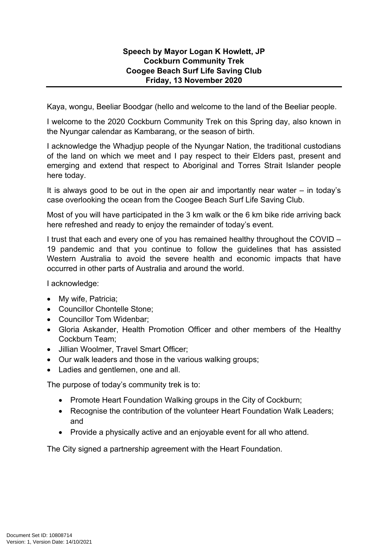## **Speech by Mayor Logan K Howlett, JP Cockburn Community Trek Coogee Beach Surf Life Saving Club Friday, 13 November 2020**

Kaya, wongu, Beeliar Boodgar (hello and welcome to the land of the Beeliar people.

I welcome to the 2020 Cockburn Community Trek on this Spring day, also known in the Nyungar calendar as Kambarang, or the season of birth.

I acknowledge the Whadjup people of the Nyungar Nation, the traditional custodians of the land on which we meet and I pay respect to their Elders past, present and emerging and extend that respect to Aboriginal and Torres Strait Islander people here today.

It is always good to be out in the open air and importantly near water – in today's case overlooking the ocean from the Coogee Beach Surf Life Saving Club.

Most of you will have participated in the 3 km walk or the 6 km bike ride arriving back here refreshed and ready to enjoy the remainder of today's event.

I trust that each and every one of you has remained healthy throughout the COVID – 19 pandemic and that you continue to follow the guidelines that has assisted Western Australia to avoid the severe health and economic impacts that have occurred in other parts of Australia and around the world.

I acknowledge:

- My wife, Patricia;
- Councillor Chontelle Stone:
- Councillor Tom Widenbar:
- Gloria Askander, Health Promotion Officer and other members of the Healthy Cockburn Team;
- Jillian Woolmer, Travel Smart Officer;
- Our walk leaders and those in the various walking groups;
- Ladies and gentlemen, one and all.

The purpose of today's community trek is to:

- Promote Heart Foundation Walking groups in the City of Cockburn;
- Recognise the contribution of the volunteer Heart Foundation Walk Leaders; and
- Provide a physically active and an enjoyable event for all who attend.

The City signed a partnership agreement with the Heart Foundation.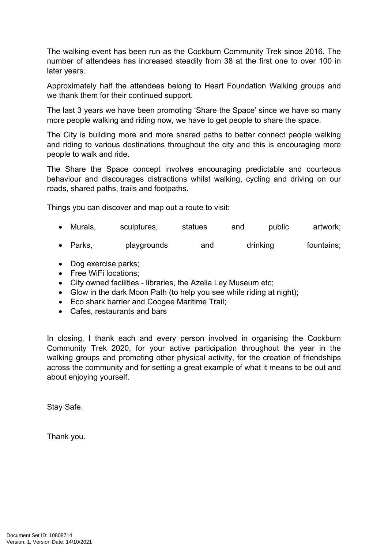The walking event has been run as the Cockburn Community Trek since 2016. The number of attendees has increased steadily from 38 at the first one to over 100 in later years.

Approximately half the attendees belong to Heart Foundation Walking groups and we thank them for their continued support.

The last 3 years we have been promoting 'Share the Space' since we have so many more people walking and riding now, we have to get people to share the space.

The City is building more and more shared paths to better connect people walking and riding to various destinations throughout the city and this is encouraging more people to walk and ride.

The Share the Space concept involves encouraging predictable and courteous behaviour and discourages distractions whilst walking, cycling and driving on our roads, shared paths, trails and footpaths.

Things you can discover and map out a route to visit:

- Murals, sculptures, statues and public artwork;
- Parks, playgrounds and drinking fountains;
- Dog exercise parks;
- Free WiFi locations;
- City owned facilities libraries, the Azelia Ley Museum etc;
- Glow in the dark Moon Path (to help you see while riding at night);
- Eco shark barrier and Coogee Maritime Trail;
- Cafes, restaurants and bars

In closing, I thank each and every person involved in organising the Cockburn Community Trek 2020, for your active participation throughout the year in the walking groups and promoting other physical activity, for the creation of friendships across the community and for setting a great example of what it means to be out and about enjoying yourself.

Stay Safe.

Thank you.